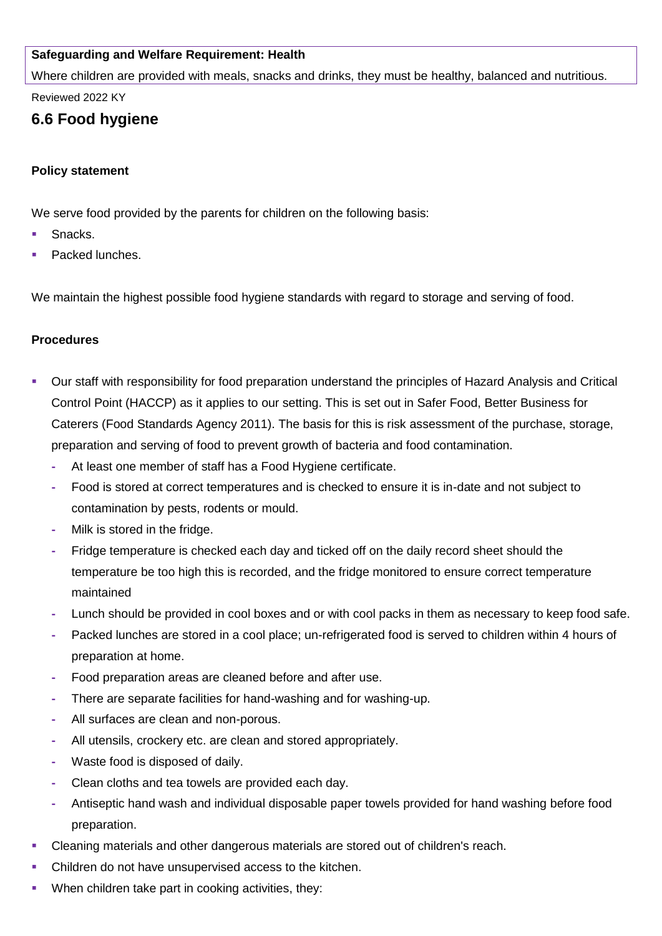# **Safeguarding and Welfare Requirement: Health**

Where children are provided with meals, snacks and drinks, they must be healthy, balanced and nutritious.

Reviewed 2022 KY

# **6.6 Food hygiene**

# **Policy statement**

We serve food provided by the parents for children on the following basis:

- Snacks.
- Packed lunches.

We maintain the highest possible food hygiene standards with regard to storage and serving of food.

## **Procedures**

- Our staff with responsibility for food preparation understand the principles of Hazard Analysis and Critical Control Point (HACCP) as it applies to our setting. This is set out in Safer Food, Better Business for Caterers (Food Standards Agency 2011). The basis for this is risk assessment of the purchase, storage, preparation and serving of food to prevent growth of bacteria and food contamination.
	- **-** At least one member of staff has a Food Hygiene certificate.
	- **-** Food is stored at correct temperatures and is checked to ensure it is in-date and not subject to contamination by pests, rodents or mould.
	- **-** Milk is stored in the fridge.
	- **-** Fridge temperature is checked each day and ticked off on the daily record sheet should the temperature be too high this is recorded, and the fridge monitored to ensure correct temperature maintained
	- **-** Lunch should be provided in cool boxes and or with cool packs in them as necessary to keep food safe.
	- **-** Packed lunches are stored in a cool place; un-refrigerated food is served to children within 4 hours of preparation at home.
	- **-** Food preparation areas are cleaned before and after use.
	- **-** There are separate facilities for hand-washing and for washing-up.
	- **-** All surfaces are clean and non-porous.
	- **-** All utensils, crockery etc. are clean and stored appropriately.
	- **-** Waste food is disposed of daily.
	- **-** Clean cloths and tea towels are provided each day.
	- **-** Antiseptic hand wash and individual disposable paper towels provided for hand washing before food preparation.
- Cleaning materials and other dangerous materials are stored out of children's reach.
- Children do not have unsupervised access to the kitchen.
- When children take part in cooking activities, they: